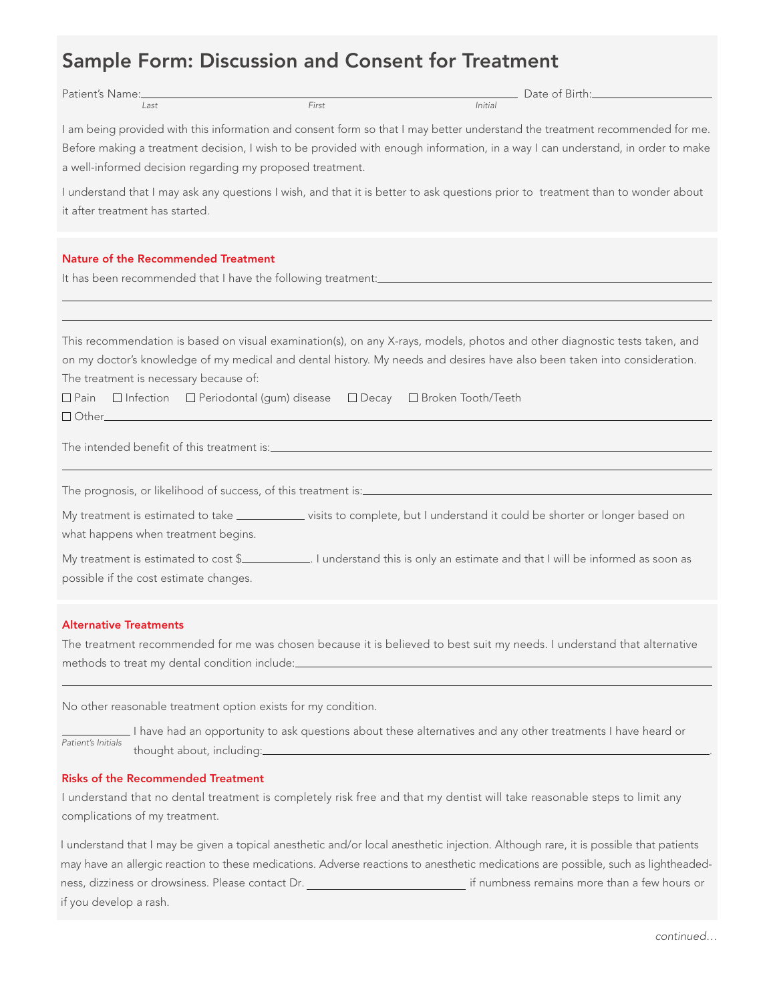# Sample Form: Discussion and Consent for Treatment

| Patient's Name:________                                                                                               |       | Date of Birth:                                                                                                                                                                                                                                                 |
|-----------------------------------------------------------------------------------------------------------------------|-------|----------------------------------------------------------------------------------------------------------------------------------------------------------------------------------------------------------------------------------------------------------------|
| Last                                                                                                                  | First | Initial                                                                                                                                                                                                                                                        |
| a well-informed decision regarding my proposed treatment.                                                             |       | I am being provided with this information and consent form so that I may better understand the treatment recommended for me.<br>Before making a treatment decision, I wish to be provided with enough information, in a way I can understand, in order to make |
| it after treatment has started.                                                                                       |       | I understand that I may ask any questions I wish, and that it is better to ask questions prior to treatment than to wonder about                                                                                                                               |
| <b>Nature of the Recommended Treatment</b>                                                                            |       |                                                                                                                                                                                                                                                                |
|                                                                                                                       |       |                                                                                                                                                                                                                                                                |
|                                                                                                                       |       |                                                                                                                                                                                                                                                                |
| The treatment is necessary because of:<br>□ Pain □ Infection □ Periodontal (gum) disease □ Decay □ Broken Tooth/Teeth |       | This recommendation is based on visual examination(s), on any X-rays, models, photos and other diagnostic tests taken, and<br>on my doctor's knowledge of my medical and dental history. My needs and desires have also been taken into consideration.         |
|                                                                                                                       |       |                                                                                                                                                                                                                                                                |
|                                                                                                                       |       |                                                                                                                                                                                                                                                                |
|                                                                                                                       |       |                                                                                                                                                                                                                                                                |
| what happens when treatment begins.                                                                                   |       | My treatment is estimated to take ____________ visits to complete, but I understand it could be shorter or longer based on                                                                                                                                     |
| possible if the cost estimate changes.                                                                                |       | My treatment is estimated to cost \$_____________. I understand this is only an estimate and that I will be informed as soon as                                                                                                                                |
| <b>Alternative Treatments</b>                                                                                         |       |                                                                                                                                                                                                                                                                |
| methods to treat my dental condition include:___________________________________                                      |       | The treatment recommended for me was chosen because it is believed to best suit my needs. I understand that alternative                                                                                                                                        |
|                                                                                                                       |       |                                                                                                                                                                                                                                                                |
| No other reasonable treatment option exists for my condition.                                                         |       |                                                                                                                                                                                                                                                                |
| Patient's Initials                                                                                                    |       | I have had an opportunity to ask questions about these alternatives and any other treatments I have heard or                                                                                                                                                   |

# Risks of the Recommended Treatment

I understand that no dental treatment is completely risk free and that my dentist will take reasonable steps to limit any complications of my treatment.

I understand that I may be given a topical anesthetic and/or local anesthetic injection. Although rare, it is possible that patients may have an allergic reaction to these medications. Adverse reactions to anesthetic medications are possible, such as lightheadedness, dizziness or drowsiness. Please contact Dr. **inter all and the mate of the mate of than** a few hours or if you develop a rash.